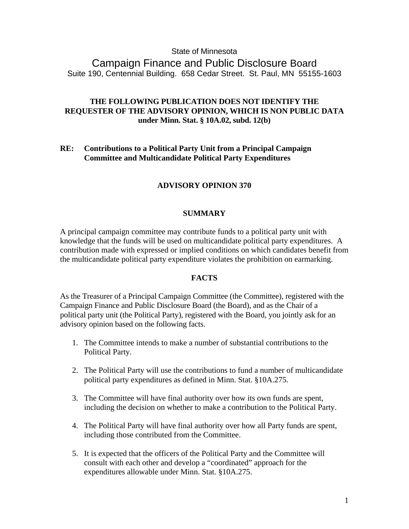## State of Minnesota

Campaign Finance and Public Disclosure Board Suite 190, Centennial Building. 658 Cedar Street. St. Paul, MN 55155-1603

# **THE FOLLOWING PUBLICATION DOES NOT IDENTIFY THE REQUESTER OF THE ADVISORY OPINION, WHICH IS NON PUBLIC DATA under Minn. Stat. § 10A.02, subd. 12(b)**

## **RE: Contributions to a Political Party Unit from a Principal Campaign Committee and Multicandidate Political Party Expenditures**

# **ADVISORY OPINION 370**

## **SUMMARY**

A principal campaign committee may contribute funds to a political party unit with knowledge that the funds will be used on multicandidate political party expenditures. A contribution made with expressed or implied conditions on which candidates benefit from the multicandidate political party expenditure violates the prohibition on earmarking.

### **FACTS**

As the Treasurer of a Principal Campaign Committee (the Committee), registered with the Campaign Finance and Public Disclosure Board (the Board), and as the Chair of a political party unit (the Political Party), registered with the Board, you jointly ask for an advisory opinion based on the following facts.

- 1. The Committee intends to make a number of substantial contributions to the Political Party.
- 2. The Political Party will use the contributions to fund a number of multicandidate political party expenditures as defined in Minn. Stat. §10A.275.
- 3. The Committee will have final authority over how its own funds are spent, including the decision on whether to make a contribution to the Political Party.
- 4. The Political Party will have final authority over how all Party funds are spent, including those contributed from the Committee.
- 5. It is expected that the officers of the Political Party and the Committee will consult with each other and develop a "coordinated" approach for the expenditures allowable under Minn. Stat. §10A.275.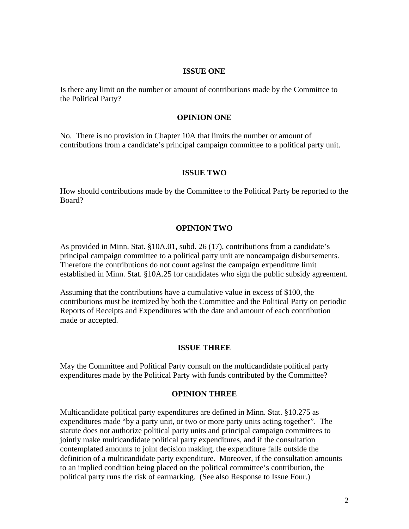### **ISSUE ONE**

Is there any limit on the number or amount of contributions made by the Committee to the Political Party?

### **OPINION ONE**

No. There is no provision in Chapter 10A that limits the number or amount of contributions from a candidate's principal campaign committee to a political party unit.

### **ISSUE TWO**

How should contributions made by the Committee to the Political Party be reported to the Board?

### **OPINION TWO**

As provided in Minn. Stat. §10A.01, subd. 26 (17), contributions from a candidate's principal campaign committee to a political party unit are noncampaign disbursements. Therefore the contributions do not count against the campaign expenditure limit established in Minn. Stat. §10A.25 for candidates who sign the public subsidy agreement.

Assuming that the contributions have a cumulative value in excess of \$100, the contributions must be itemized by both the Committee and the Political Party on periodic Reports of Receipts and Expenditures with the date and amount of each contribution made or accepted.

#### **ISSUE THREE**

May the Committee and Political Party consult on the multicandidate political party expenditures made by the Political Party with funds contributed by the Committee?

### **OPINION THREE**

Multicandidate political party expenditures are defined in Minn. Stat. §10.275 as expenditures made "by a party unit, or two or more party units acting together". The statute does not authorize political party units and principal campaign committees to jointly make multicandidate political party expenditures, and if the consultation contemplated amounts to joint decision making, the expenditure falls outside the definition of a multicandidate party expenditure. Moreover, if the consultation amounts to an implied condition being placed on the political committee's contribution, the political party runs the risk of earmarking. (See also Response to Issue Four.)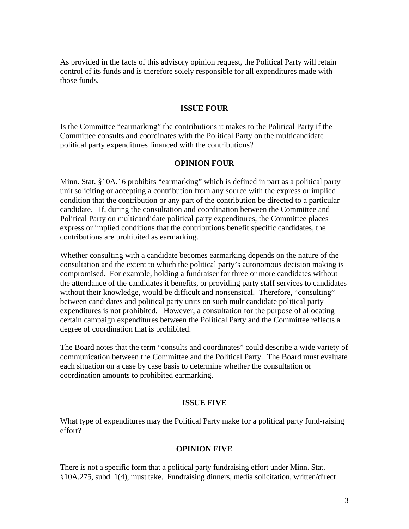As provided in the facts of this advisory opinion request, the Political Party will retain control of its funds and is therefore solely responsible for all expenditures made with those funds.

### **ISSUE FOUR**

Is the Committee "earmarking" the contributions it makes to the Political Party if the Committee consults and coordinates with the Political Party on the multicandidate political party expenditures financed with the contributions?

### **OPINION FOUR**

Minn. Stat. §10A.16 prohibits "earmarking" which is defined in part as a political party unit soliciting or accepting a contribution from any source with the express or implied condition that the contribution or any part of the contribution be directed to a particular candidate. If, during the consultation and coordination between the Committee and Political Party on multicandidate political party expenditures, the Committee places express or implied conditions that the contributions benefit specific candidates, the contributions are prohibited as earmarking.

Whether consulting with a candidate becomes earmarking depends on the nature of the consultation and the extent to which the political party's autonomous decision making is compromised. For example, holding a fundraiser for three or more candidates without the attendance of the candidates it benefits, or providing party staff services to candidates without their knowledge, would be difficult and nonsensical. Therefore, "consulting" between candidates and political party units on such multicandidate political party expenditures is not prohibited. However, a consultation for the purpose of allocating certain campaign expenditures between the Political Party and the Committee reflects a degree of coordination that is prohibited.

The Board notes that the term "consults and coordinates" could describe a wide variety of communication between the Committee and the Political Party. The Board must evaluate each situation on a case by case basis to determine whether the consultation or coordination amounts to prohibited earmarking.

### **ISSUE FIVE**

What type of expenditures may the Political Party make for a political party fund-raising effort?

## **OPINION FIVE**

There is not a specific form that a political party fundraising effort under Minn. Stat. §10A.275, subd. 1(4), must take. Fundraising dinners, media solicitation, written/direct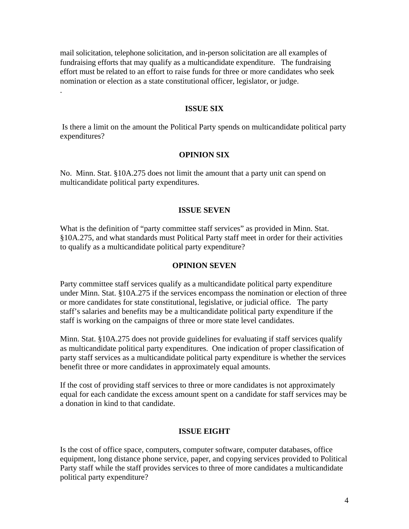mail solicitation, telephone solicitation, and in-person solicitation are all examples of fundraising efforts that may qualify as a multicandidate expenditure. The fundraising effort must be related to an effort to raise funds for three or more candidates who seek nomination or election as a state constitutional officer, legislator, or judge.

.

#### **ISSUE SIX**

 Is there a limit on the amount the Political Party spends on multicandidate political party expenditures?

### **OPINION SIX**

No. Minn. Stat. §10A.275 does not limit the amount that a party unit can spend on multicandidate political party expenditures.

#### **ISSUE SEVEN**

What is the definition of "party committee staff services" as provided in Minn. Stat. §10A.275, and what standards must Political Party staff meet in order for their activities to qualify as a multicandidate political party expenditure?

## **OPINION SEVEN**

Party committee staff services qualify as a multicandidate political party expenditure under Minn. Stat. §10A.275 if the services encompass the nomination or election of three or more candidates for state constitutional, legislative, or judicial office. The party staff's salaries and benefits may be a multicandidate political party expenditure if the staff is working on the campaigns of three or more state level candidates.

Minn. Stat. §10A.275 does not provide guidelines for evaluating if staff services qualify as multicandidate political party expenditures. One indication of proper classification of party staff services as a multicandidate political party expenditure is whether the services benefit three or more candidates in approximately equal amounts.

If the cost of providing staff services to three or more candidates is not approximately equal for each candidate the excess amount spent on a candidate for staff services may be a donation in kind to that candidate.

### **ISSUE EIGHT**

Is the cost of office space, computers, computer software, computer databases, office equipment, long distance phone service, paper, and copying services provided to Political Party staff while the staff provides services to three of more candidates a multicandidate political party expenditure?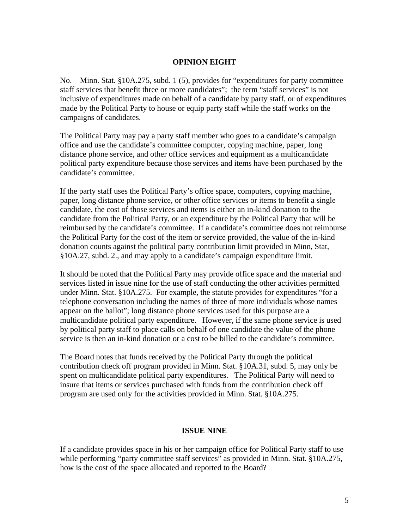## **OPINION EIGHT**

No. Minn. Stat. §10A.275, subd. 1 (5), provides for "expenditures for party committee staff services that benefit three or more candidates"; the term "staff services" is not inclusive of expenditures made on behalf of a candidate by party staff, or of expenditures made by the Political Party to house or equip party staff while the staff works on the campaigns of candidates.

The Political Party may pay a party staff member who goes to a candidate's campaign office and use the candidate's committee computer, copying machine, paper, long distance phone service, and other office services and equipment as a multicandidate political party expenditure because those services and items have been purchased by the candidate's committee.

If the party staff uses the Political Party's office space, computers, copying machine, paper, long distance phone service, or other office services or items to benefit a single candidate, the cost of those services and items is either an in-kind donation to the candidate from the Political Party, or an expenditure by the Political Party that will be reimbursed by the candidate's committee. If a candidate's committee does not reimburse the Political Party for the cost of the item or service provided, the value of the in-kind donation counts against the political party contribution limit provided in Minn, Stat, §10A.27, subd. 2., and may apply to a candidate's campaign expenditure limit.

It should be noted that the Political Party may provide office space and the material and services listed in issue nine for the use of staff conducting the other activities permitted under Minn. Stat. §10A.275. For example, the statute provides for expenditures "for a telephone conversation including the names of three of more individuals whose names appear on the ballot"; long distance phone services used for this purpose are a multicandidate political party expenditure. However, if the same phone service is used by political party staff to place calls on behalf of one candidate the value of the phone service is then an in-kind donation or a cost to be billed to the candidate's committee.

The Board notes that funds received by the Political Party through the political contribution check off program provided in Minn. Stat. §10A.31, subd. 5, may only be spent on multicandidate political party expenditures. The Political Party will need to insure that items or services purchased with funds from the contribution check off program are used only for the activities provided in Minn. Stat. §10A.275.

## **ISSUE NINE**

If a candidate provides space in his or her campaign office for Political Party staff to use while performing "party committee staff services" as provided in Minn. Stat. §10A.275, how is the cost of the space allocated and reported to the Board?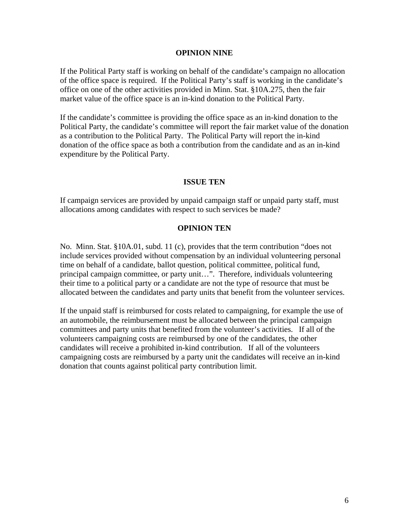### **OPINION NINE**

If the Political Party staff is working on behalf of the candidate's campaign no allocation of the office space is required. If the Political Party's staff is working in the candidate's office on one of the other activities provided in Minn. Stat. §10A.275, then the fair market value of the office space is an in-kind donation to the Political Party.

If the candidate's committee is providing the office space as an in-kind donation to the Political Party, the candidate's committee will report the fair market value of the donation as a contribution to the Political Party. The Political Party will report the in-kind donation of the office space as both a contribution from the candidate and as an in-kind expenditure by the Political Party.

## **ISSUE TEN**

If campaign services are provided by unpaid campaign staff or unpaid party staff, must allocations among candidates with respect to such services be made?

## **OPINION TEN**

No. Minn. Stat. §10A.01, subd. 11 (c), provides that the term contribution "does not include services provided without compensation by an individual volunteering personal time on behalf of a candidate, ballot question, political committee, political fund, principal campaign committee, or party unit…". Therefore, individuals volunteering their time to a political party or a candidate are not the type of resource that must be allocated between the candidates and party units that benefit from the volunteer services.

If the unpaid staff is reimbursed for costs related to campaigning, for example the use of an automobile, the reimbursement must be allocated between the principal campaign committees and party units that benefited from the volunteer's activities. If all of the volunteers campaigning costs are reimbursed by one of the candidates, the other candidates will receive a prohibited in-kind contribution. If all of the volunteers campaigning costs are reimbursed by a party unit the candidates will receive an in-kind donation that counts against political party contribution limit.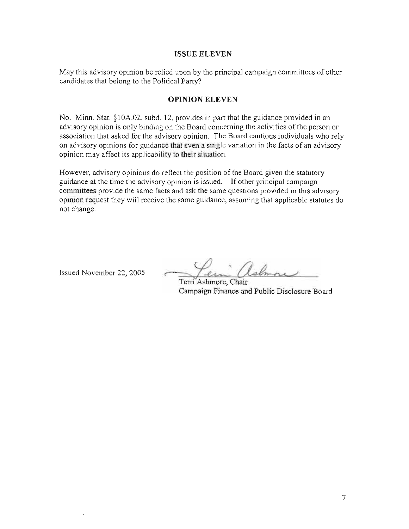### **ISSUE ELEVEN**

May this advisory opinion be relied upon by the principal campaign committees of other candidates that belong to the Political Party?

## **OPINION ELEVEN**

No. Minn. Stat.  $§10A.02$ , subd. 12, provides in part that the guidance provided in an advisory opinion is only binding on the Board concerning the activities of the person or association that asked for the advisory opinion. The Board cautions individuals who rely on advisory opinions for guidance that even a single variation in the facts of an advisory opinion may affect its applicability to their situation.

However, advisory opinions do reflect the position of the Board given the statutory guidance at the time the advisory opinion is issued. If other principal campaign committees provide the same facts and ask the same questions provided in this advisory opinion request they will receive the same guidance, assuming that applicable statutes do not change.

Issued November 22, 2005

Terri Ashmore, Chair Campaign Finance and Public Disclosure Board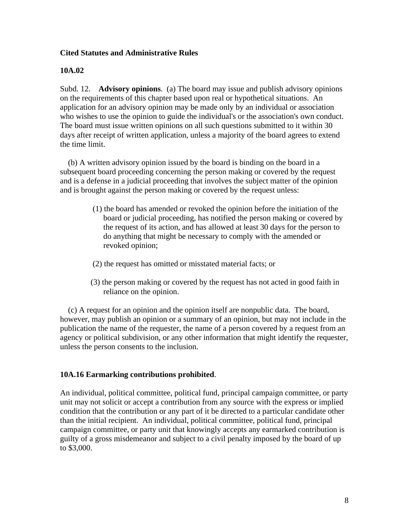# **Cited Statutes and Administrative Rules**

## **10A.02**

Subd. 12. **Advisory opinions**. (a) The board may issue and publish advisory opinions on the requirements of this chapter based upon real or hypothetical situations. An application for an advisory opinion may be made only by an individual or association who wishes to use the opinion to guide the individual's or the association's own conduct. The board must issue written opinions on all such questions submitted to it within 30 days after receipt of written application, unless a majority of the board agrees to extend the time limit.

 (b) A written advisory opinion issued by the board is binding on the board in a subsequent board proceeding concerning the person making or covered by the request and is a defense in a judicial proceeding that involves the subject matter of the opinion and is brought against the person making or covered by the request unless:

- (1) the board has amended or revoked the opinion before the initiation of the board or judicial proceeding, has notified the person making or covered by the request of its action, and has allowed at least 30 days for the person to do anything that might be necessary to comply with the amended or revoked opinion;
- (2) the request has omitted or misstated material facts; or
- (3) the person making or covered by the request has not acted in good faith in reliance on the opinion.

 (c) A request for an opinion and the opinion itself are nonpublic data. The board, however, may publish an opinion or a summary of an opinion, but may not include in the publication the name of the requester, the name of a person covered by a request from an agency or political subdivision, or any other information that might identify the requester, unless the person consents to the inclusion.

## **10A.16 Earmarking contributions prohibited**.

An individual, political committee, political fund, principal campaign committee, or party unit may not solicit or accept a contribution from any source with the express or implied condition that the contribution or any part of it be directed to a particular candidate other than the initial recipient. An individual, political committee, political fund, principal campaign committee, or party unit that knowingly accepts any earmarked contribution is guilty of a gross misdemeanor and subject to a civil penalty imposed by the board of up to \$3,000.